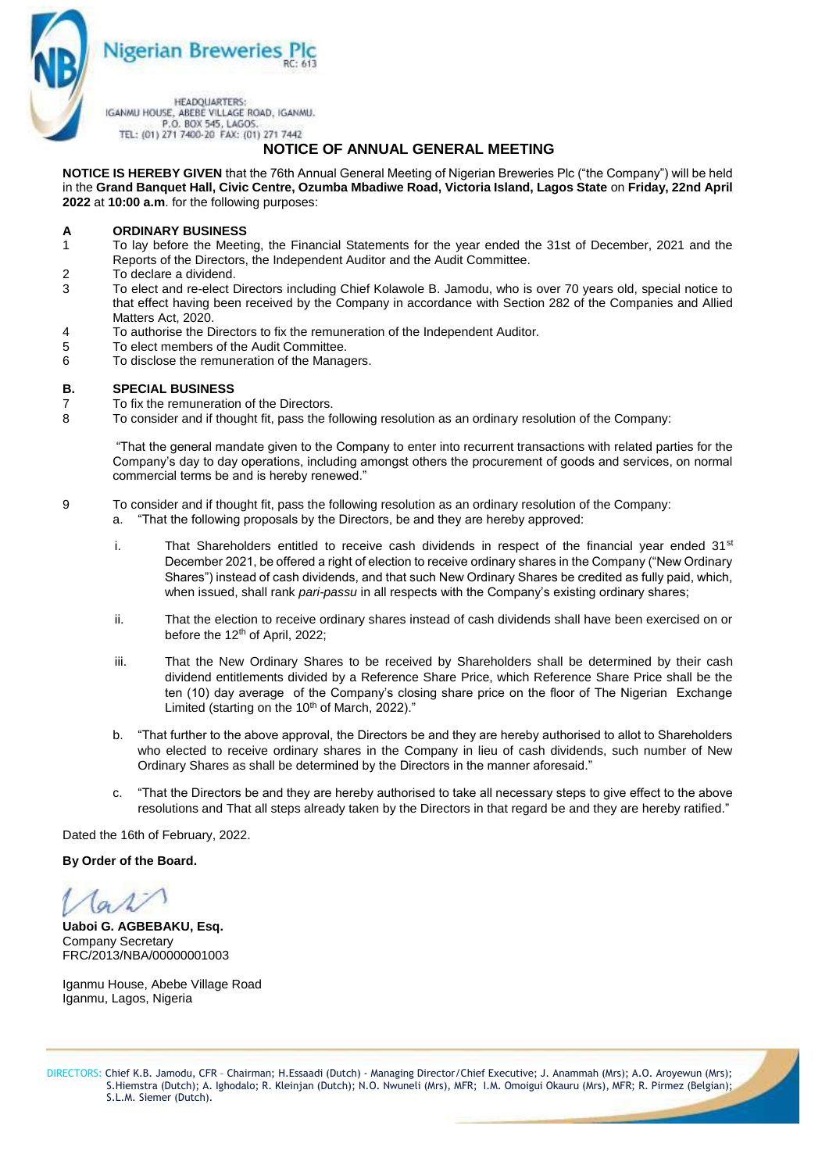

# **NOTICE OF ANNUAL GENERAL MEETING**

**NOTICE IS HEREBY GIVEN** that the 76th Annual General Meeting of Nigerian Breweries Plc ("the Company") will be held in the **Grand Banquet Hall, Civic Centre, Ozumba Mbadiwe Road, Victoria Island, Lagos State** on **Friday, 22nd April 2022** at **10:00 a.m**. for the following purposes:

### **A ORDINARY BUSINESS**

- 1 To lay before the Meeting, the Financial Statements for the year ended the 31st of December, 2021 and the Reports of the Directors, the Independent Auditor and the Audit Committee.
- 2 To declare a dividend.
- 3 To elect and re-elect Directors including Chief Kolawole B. Jamodu, who is over 70 years old, special notice to that effect having been received by the Company in accordance with Section 282 of the Companies and Allied Matters Act, 2020.
- 4 To authorise the Directors to fix the remuneration of the Independent Auditor.
- 5 To elect members of the Audit Committee.
- 6 To disclose the remuneration of the Managers.

#### **B. SPECIAL BUSINESS**

- 7 To fix the remuneration of the Directors.
- 8 To consider and if thought fit, pass the following resolution as an ordinary resolution of the Company:

"That the general mandate given to the Company to enter into recurrent transactions with related parties for the Company's day to day operations, including amongst others the procurement of goods and services, on normal commercial terms be and is hereby renewed."

- 9 To consider and if thought fit, pass the following resolution as an ordinary resolution of the Company:
	- a. "That the following proposals by the Directors, be and they are hereby approved:
		- i. That Shareholders entitled to receive cash dividends in respect of the financial year ended  $31<sup>st</sup>$ December 2021, be offered a right of election to receive ordinary shares in the Company ("New Ordinary Shares") instead of cash dividends, and that such New Ordinary Shares be credited as fully paid, which, when issued, shall rank *pari-passu* in all respects with the Company's existing ordinary shares;
		- ii. That the election to receive ordinary shares instead of cash dividends shall have been exercised on or before the 12<sup>th</sup> of April, 2022:
		- iii. That the New Ordinary Shares to be received by Shareholders shall be determined by their cash dividend entitlements divided by a Reference Share Price, which Reference Share Price shall be the ten (10) day average of the Company's closing share price on the floor of The Nigerian Exchange Limited (starting on the 10<sup>th</sup> of March, 2022)."
		- b. "That further to the above approval, the Directors be and they are hereby authorised to allot to Shareholders who elected to receive ordinary shares in the Company in lieu of cash dividends, such number of New Ordinary Shares as shall be determined by the Directors in the manner aforesaid."
		- c. "That the Directors be and they are hereby authorised to take all necessary steps to give effect to the above resolutions and That all steps already taken by the Directors in that regard be and they are hereby ratified."

Dated the 16th of February, 2022.

### **By Order of the Board.**

**Uaboi G. AGBEBAKU, Esq.** Company Secretary FRC/2013/NBA/00000001003

Iganmu House, Abebe Village Road Iganmu, Lagos, Nigeria

 DIRECTORS: Chief K.B. Jamodu, CFR – Chairman; H.Essaadi (Dutch) - Managing Director/Chief Executive; J. Anammah (Mrs); A.O. Aroyewun (Mrs); S.Hiemstra (Dutch); A. Ighodalo; R. Kleinjan (Dutch); N.O. Nwuneli (Mrs), MFR; I.M. Omoigui Okauru (Mrs), MFR; R. Pirmez (Belgian); S.L.M. Siemer (Dutch).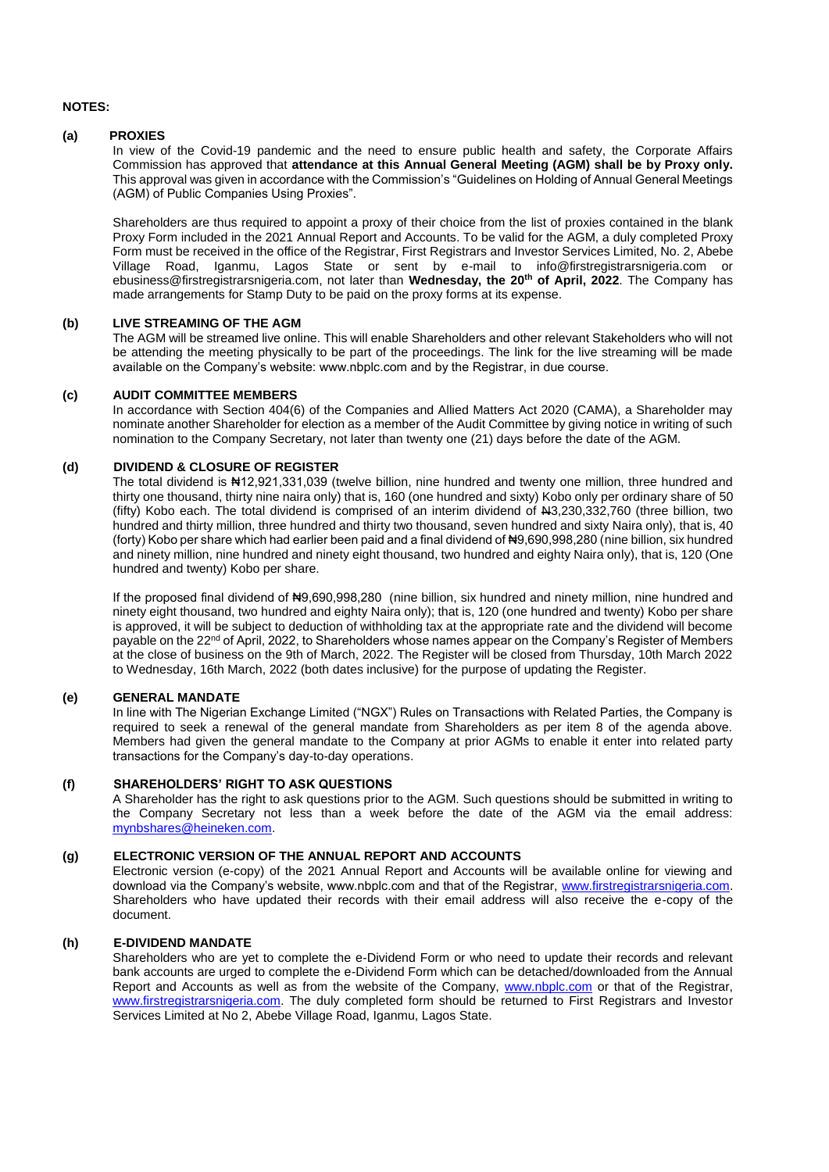#### **NOTES:**

### **(a) PROXIES**

In view of the Covid-19 pandemic and the need to ensure public health and safety, the Corporate Affairs Commission has approved that **attendance at this Annual General Meeting (AGM) shall be by Proxy only.** This approval was given in accordance with the Commission's "Guidelines on Holding of Annual General Meetings (AGM) of Public Companies Using Proxies".

Shareholders are thus required to appoint a proxy of their choice from the list of proxies contained in the blank Proxy Form included in the 2021 Annual Report and Accounts. To be valid for the AGM, a duly completed Proxy Form must be received in the office of the Registrar, First Registrars and Investor Services Limited, No. 2, Abebe Village Road, Iganmu, Lagos State or sent by e-mail to info@firstregistrarsnigeria.com or ebusiness@firstregistrarsnigeria.com, not later than **Wednesday, the 20th of April, 2022**. The Company has made arrangements for Stamp Duty to be paid on the proxy forms at its expense.

### **(b) LIVE STREAMING OF THE AGM**

The AGM will be streamed live online. This will enable Shareholders and other relevant Stakeholders who will not be attending the meeting physically to be part of the proceedings. The link for the live streaming will be made available on the Company's website: www.nbplc.com and by the Registrar, in due course.

### **(c) AUDIT COMMITTEE MEMBERS**

In accordance with Section 404(6) of the Companies and Allied Matters Act 2020 (CAMA), a Shareholder may nominate another Shareholder for election as a member of the Audit Committee by giving notice in writing of such nomination to the Company Secretary, not later than twenty one (21) days before the date of the AGM.

### **(d) DIVIDEND & CLOSURE OF REGISTER**

The total dividend is #12,921,331,039 (twelve billion, nine hundred and twenty one million, three hundred and thirty one thousand, thirty nine naira only) that is, 160 (one hundred and sixty) Kobo only per ordinary share of 50 (fifty) Kobo each. The total dividend is comprised of an interim dividend of N3,230,332,760 (three billion, two hundred and thirty million, three hundred and thirty two thousand, seven hundred and sixty Naira only), that is, 40 (forty) Kobo per share which had earlier been paid and a final dividend of ₦9,690,998,280 (nine billion, six hundred and ninety million, nine hundred and ninety eight thousand, two hundred and eighty Naira only), that is, 120 (One hundred and twenty) Kobo per share.

If the proposed final dividend of  $\text{H9},690,998,280$  (nine billion, six hundred and ninety million, nine hundred and ninety eight thousand, two hundred and eighty Naira only); that is, 120 (one hundred and twenty) Kobo per share is approved, it will be subject to deduction of withholding tax at the appropriate rate and the dividend will become payable on the 22<sup>nd</sup> of April, 2022, to Shareholders whose names appear on the Company's Register of Members at the close of business on the 9th of March, 2022. The Register will be closed from Thursday, 10th March 2022 to Wednesday, 16th March, 2022 (both dates inclusive) for the purpose of updating the Register.

## **(e) GENERAL MANDATE**

In line with The Nigerian Exchange Limited ("NGX") Rules on Transactions with Related Parties, the Company is required to seek a renewal of the general mandate from Shareholders as per item 8 of the agenda above. Members had given the general mandate to the Company at prior AGMs to enable it enter into related party transactions for the Company's day-to-day operations.

#### **(f) SHAREHOLDERS' RIGHT TO ASK QUESTIONS**

A Shareholder has the right to ask questions prior to the AGM. Such questions should be submitted in writing to the Company Secretary not less than a week before the date of the AGM via the email address: [mynbshares@heineken.com.](mailto:mynbshares@heineken.com)

## **(g) ELECTRONIC VERSION OF THE ANNUAL REPORT AND ACCOUNTS**

Electronic version (e-copy) of the 2021 Annual Report and Accounts will be available online for viewing and download via the Company's website, www.nbplc.com and that of the Registrar, [www.firstregistrarsnigeria.com.](http://www.firstregistrarsnigeria.com/) Shareholders who have updated their records with their email address will also receive the e-copy of the document.

### **(h) E-DIVIDEND MANDATE**

Shareholders who are yet to complete the e-Dividend Form or who need to update their records and relevant bank accounts are urged to complete the e-Dividend Form which can be detached/downloaded from the Annual Report and Accounts as well as from the website of the Company, [www.nbplc.com](http://www.nbplc.com/) or that of the Registrar, [www.firstregistrarsnigeria.com.](http://www.firstregistrarsnigeria.com/) The duly completed form should be returned to First Registrars and Investor Services Limited at No 2, Abebe Village Road, Iganmu, Lagos State.